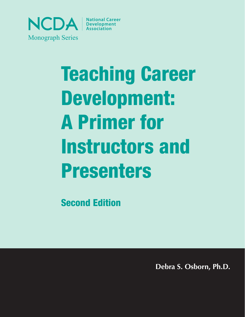

# Teaching Career Development: A Primer for Instructors and Presenters

Second Edition

**Debra S. Osborn, Ph.D.**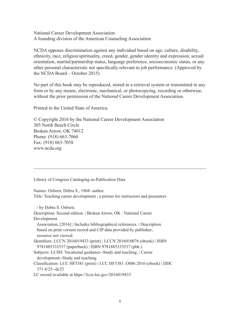National Career Development Association A founding division of the American Counseling Association

NCDA opposes discrimination against any individual based on age, culture, disability, ethnicity, race, religion/spirituality, creed, gender, gender identity and expression, sexual orientation, marital/partnership status, language preference, socioeconomic status, or any other personal characteristic not specifically relevant to job performance. (Approved by the NCDA Board – October 2015)

No part of this book may be reproduced, stored in a retrieval system or transmitted in any form or by any means, electronic, mechanical, or photocopying, recording or otherwise, without the prior permission of the National Career Development Association.

Printed in the United State of America.

© Copyright 2016 by the National Career Development Association 305 North Beech Circle Broken Arrow, OK 74012 Phone: (918) 663-7060 Fax: (918) 663-7058 www.ncda.org

Library of Congress Cataloging-in-Publication Data

Names: Osborn, Debra S., 1968- author.

Title: Teaching career development : a primer for instructors and presenters

 / by Debra S. Osborn. Description: Second edition. | Broken Arrow, OK : National Career Development Association, [2016] | Includes bibliographical references. | Description based on print version record and CIP data provided by publisher; resource not viewed. Identifiers: LCCN 2016019433 (print) | LCCN 2016010076 (ebook) | ISBN 9781885333537 (paperback) | ISBN 9781885333537 (pbk.) Subjects: LCSH: Vocational guidance--Study and teaching. | Career development--Study and teaching. Classification: LCC HF5381 (print) | LCC HF5381 .O886 2016 (ebook) | DDC 371.4/25--dc23 LC record available at https://lccn.loc.gov/2016019433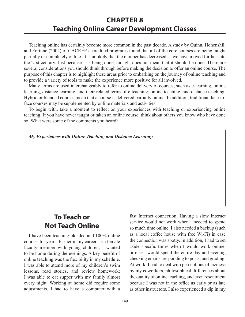# **CHAPTER 8 Teaching Online Career Development Classes**

Teaching online has certainly become more common in the past decade. A study by Quinn, Hohenshil, and Fortune (2002) of CACREP-accredited programs found that all of the core courses are being taught partially or completely online. It is unlikely that the number has decreased as we have moved further into the 21st century. Just because it is being done, though, does not mean that it should be done. There are several considerations you should think through before making the decision to offer an online course. The purpose of this chapter is to highlight these areas prior to embarking on the journey of online teaching and to provide a variety of tools to make the experience more positive for all involved.

Many terms are used interchangeably to refer to online delivery of courses, such as e-learning, online learning, distance learning, and their related terms of e-teaching, online teaching, and distance teaching. Hybrid or blended courses mean that a course is delivered partially online. In addition, traditional face-toface courses may be supplemented by online materials and activities.

To begin with, take a moment to reflect on your experiences with teaching or experiencing online teaching. If you have never taught or taken an online course, think about others you know who have done so. What were some of the comments you heard?

*My Experiences with Online Teaching and Distance Learning:*

## **To Teach or Not Teach Online**

I have been teaching blended and 100% online courses for years. Earlier in my career, as a female faculty member with young children, I wanted to be home during the evenings. A key benefit of online teaching was the flexibility in my schedule. I was able to attend more of my children's swim lessons, read stories, and review homework; I was able to eat supper with my family almost every night. Working at home did require some adjustments. I had to have a computer with a

fast Internet connection. Having a slow Internet service would not work when I needed to spend so much time online. I also needed a backup (such as a local coffee house with free Wi-Fi) in case the connection was spotty. In addition, I had to set aside specific times when I would work online, or else I would spend the entire day and evening checking emails, responding to posts, and grading. At work, I had to deal with perceptions of laziness by my coworkers, philosophical differences about the quality of online teaching, and even resentment because I was not in the office as early or as late as other instructors. I also experienced a dip in my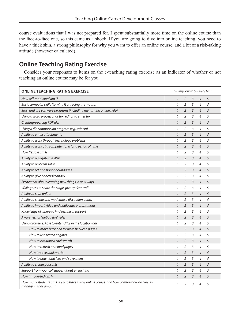course evaluations that I was not prepared for. I spent substantially more time on the online course than the face-to-face one, so this came as a shock. If you are going to dive into online teaching, you need to have a thick skin, a strong philosophy for why you want to offer an online course, and a bit of a risk-taking attitude (however calculated).

## **Online Teaching Rating Exercise**

Consider your responses to items on the e-teaching rating exercise as an indicator of whether or not teaching an online course may be for you.

| ONLINE TEACHING RATING EXERCISE                                                                                        | $1 =$ very low to $5 =$ very high |                |                |                |   |
|------------------------------------------------------------------------------------------------------------------------|-----------------------------------|----------------|----------------|----------------|---|
| How self-motivated am I?                                                                                               | $\mathcal{I}$                     | $\overline{2}$ | 3              | $\overline{4}$ | 5 |
| Basic computer skills (turning it on, using the mouse)                                                                 | $\mathbf{1}$                      | $\overline{2}$ | 3              | 4              | 5 |
| Start and use software programs (including menus and online help)                                                      | $\mathcal{I}$                     | $\overline{2}$ | 3              | $\overline{4}$ | 5 |
| Using a word processor or text editor to enter text                                                                    |                                   | $\overline{2}$ | 3              | $\overline{4}$ | 5 |
| Creating/opening PDF files                                                                                             | $\mathcal{I}$                     | $\overline{2}$ | $\overline{3}$ | $\overline{4}$ | 5 |
| Using a file compression program (e.g., winzip)                                                                        | $\mathcal{I}$                     | 2              | 3              | 4              | 5 |
| Ability to email attachments                                                                                           | $\mathcal{I}$                     | $\overline{2}$ | 3              | $\overline{4}$ | 5 |
| Ability to work through technology problems                                                                            | $\mathcal I$                      | $\overline{2}$ | 3              | $\overline{4}$ | 5 |
| Ability to work at a computer for a long period of time                                                                | $\mathbf{1}$                      | $\overline{2}$ | 3              | $\overline{4}$ | 5 |
| How flexible am I?                                                                                                     | $\mathcal{I}$                     | $\overline{2}$ | 3              | $\overline{4}$ | 5 |
| Ability to navigate the Web                                                                                            | $\mathcal{I}$                     | $\overline{2}$ | 3              | $\overline{4}$ | 5 |
| Ability to problem solve                                                                                               | $\mathcal{I}$                     | $\overline{2}$ | 3              | $\overline{4}$ | 5 |
| Ability to set and honor boundaries                                                                                    | $\mathcal{I}$                     | $\overline{2}$ | 3              | $\overline{4}$ | 5 |
| Ability to give honest feedback                                                                                        | $\mathcal{I}$                     | $\overline{2}$ | 3              | $\overline{4}$ | 5 |
| Excitement about learning new things in new ways                                                                       | $\mathcal{I}$                     | $\overline{2}$ | 3              | $\overline{4}$ | 5 |
| Willingness to share the stage, give up "control"                                                                      | $\mathcal{I}$                     | $\overline{2}$ | 3              | $\overline{4}$ | 5 |
| Ability to chat online                                                                                                 | $\mathcal{I}$                     | $\overline{2}$ | 3              | $\overline{4}$ | 5 |
| Ability to create and moderate a discussion board                                                                      | $\mathcal{I}$                     | 2              | 3              | $\overline{4}$ | 5 |
| Ability to import video and audio into presentations                                                                   | $\mathcal{I}$                     | $\overline{2}$ | 3              | $\overline{4}$ | 5 |
| Knowledge of where to find technical support                                                                           | $\mathcal{I}$                     | 2              | 3              | $\overline{4}$ | 5 |
| Awareness of "netiquette" rules                                                                                        | $\mathcal{I}$                     | $\overline{2}$ | 3              | $\overline{4}$ | 5 |
| Using browsers: Able to enter URLs in the location bar                                                                 | $\mathcal{I}$                     | $\overline{2}$ | 3              | $\overline{4}$ | 5 |
| How to move back and forward between pages                                                                             | $\mathcal{I}$                     | $\overline{2}$ | 3              | $\overline{4}$ | 5 |
| How to use search engines                                                                                              | $\mathcal{I}$                     | $\overline{2}$ | 3              | $\overline{4}$ | 5 |
| How to evaluate a site's worth                                                                                         | $\mathcal{I}$                     | $\overline{2}$ | $\overline{3}$ | $\overline{4}$ | 5 |
| How to refresh or reload pages                                                                                         | $\mathcal{I}$                     | $\overline{2}$ | 3              | $\overline{4}$ | 5 |
| How to save bookmarks                                                                                                  | $\mathcal{I}$                     | $\overline{2}$ | 3              | $\overline{4}$ | 5 |
| How to download files and save them                                                                                    | $\mathcal{I}$                     | $\overline{2}$ | 3              | $\overline{4}$ | 5 |
| Ability to create podcasts                                                                                             | $\mathcal{I}$                     | $\overline{2}$ | 3              | $\overline{4}$ | 5 |
| Support from your colleagues about e-teaching                                                                          | $\mathcal{I}$                     | 2              | 3              | $\overline{4}$ | 5 |
| How introverted am I?                                                                                                  | $\mathcal{I}$                     | $\overline{2}$ | 3              | $\overline{4}$ | 5 |
| How many students am I likely to have in this online course, and how comfortable do I feel in<br>managing that amount? | $\mathbf{1}$                      | $\mathfrak{D}$ | $\overline{3}$ | $\overline{4}$ | 5 |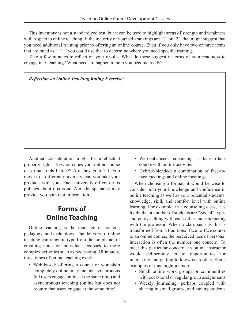This inventory is not a standardized test, but it can be used to highlight areas of strength and weakness with respect to online teaching. If the majority of your self-rankings are "1" or "2," that might suggest that you need additional training prior to offering an online course. Even if you only have two or three items that are rated as a "1," you could use that to determine where you need specific training.

Take a few minutes to reflect on your results. What do these suggest in terms of your readiness to engage in e-teaching? What needs to happen to help you become ready?

#### *Reflection on Online Teaching Rating Exercise:*

Another consideration might be intellectual property rights. To whom does your online course or virtual tools belong? Are they yours? If you move to a different university, can you take your products with you? Each university differs on its policies about this issue. A media specialist may provide you with that information.

# **Forms of Online Teaching**

Online teaching is the marriage of content, pedagogy, and technology. The delivery of online teaching can range in type from the simple act of emailing notes or individual feedback to more complex activities such as podcasting. Ultimately, three types of online teaching exist:

• Web-based: offering a course or workshop completely online; may include synchronous (all users engage online at the same time) and asynchronous teaching (online but does not require that users engage at the same time)

- Web-enhanced: enhancing a face-to-face course with online activities
- Hybrid//blended: a combination of face-toface meetings and online meetings.

When choosing a format, it would be wise to consider both your knowledge and confidence in online teaching as well as your potential students' knowledge, skill, and comfort level with online learning. For example, in a counseling class, it is likely that a number of students are "Social" types and enjoy talking with each other and interacting with the professor. When a class such as this is transformed from a traditional face-to-face course to an online course, the perceived loss of personal interaction is often the number one concern. To meet this particular concern, an online instructor would deliberately create opportunities for interacting and getting to know each other. Some examples of this might include:

- Small online work groups or communities with occasional or regular group assignments
- Weekly journaling, perhaps coupled with sharing in small groups, and having students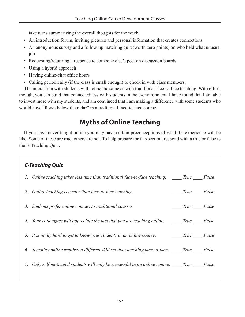take turns summarizing the overall thoughts for the week.

- An introduction forum, inviting pictures and personal information that creates connections
- An anonymous survey and a follow-up matching quiz (worth zero points) on who held what unusual job
- Requesting/requiring a response to someone else's post on discussion boards
- Using a hybrid approach
- Having online-chat office hours
- Calling periodically (if the class is small enough) to check in with class members.

The interaction with students will not be the same as with traditional face-to-face teaching. With effort, though, you can build that connectedness with students in the e-environment. I have found that I am able to invest more with my students, and am convinced that I am making a difference with some students who would have "flown below the radar" in a traditional face-to-face course.

# **Myths of Online Teaching**

If you have never taught online you may have certain preconceptions of what the experience will be like. Some of these are true, others are not. To help prepare for this section, respond with a true or false to the E-Teaching Quiz.

| <b>E-Teaching Quiz</b>                                                                   |                   |
|------------------------------------------------------------------------------------------|-------------------|
| 1. Online teaching takes less time than traditional face-to-face teaching. True False    |                   |
| 2. Online teaching is easier than face-to-face teaching.                                 | $True$ False      |
| Students prefer online courses to traditional courses.<br>3.                             | <i>True</i> False |
| 4. Your colleagues will appreciate the fact that you are teaching online. True False     |                   |
| 5. It is really hard to get to know your students in an online course. True False        |                   |
| 6. Teaching online requires a different skill set than teaching face-to-face. True False |                   |
| 7. Only self-motivated students will only be successful in an online course. True False  |                   |
|                                                                                          |                   |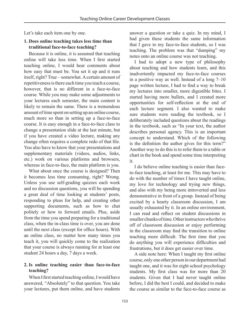Let's take each item one by one.

#### **1. Does online teaching takes less time than traditional face-to-face teaching?**

Because it is online, it is assumed that teaching online will take less time. When I first started teaching online, I would hear comments about how easy that must be. You set it up and it runs itself, right? True – somewhat. A certain amount of repetitiveness is there each time you teach a course, however, that is no different in a face-to-face course. While you may make some adjustments to your lectures each semester, the main content is likely to remain the same. There is a tremendous amount of time spent on setting up an online course, much more so than in setting up a face-to-face course. It is easy enough in a face-to-face class to change a presentation slide at the last minute, but if you have created a video lecture, making any change often requires a complete redo of that file. You also have to know that your presentations and supplementary materials (videos, audios, links, etc.) work on various platforms and browsers, whereas in face-to-face, the main platform is you.

What about once the course is designed? Then it becomes less time consuming, right? Wrong. Unless you use self-grading quizzes each week and no discussion questions, you will be spending a great deal of time looking at students' posts, responding to pleas for help, and creating other supporting documents, such as how to chat politely or how to forward emails. Plus, aside from the time you spend preparing for a traditional class, when the in-class time is over, you are done until the next class (except for office hours). With an online class, no matter how many times you teach it, you will quickly come to the realization that your course is always running for at least one student 24 hours a day, 7 days a week.

#### **2. Is online teaching easier than face-to-face teaching?**

When I first started teaching online, I would have answered, "Absolutely" to that question. You take your lectures, put them online, and have students answer a question or take a quiz. In my mind, I had given these students the same information that I gave to my face-to-face students, so I was teaching. The problem was that "dumping" my notes onto an online course was not teaching.

I had to adopt a new type of philosophy about teaching and how students learn, and this inadvertently impacted my face-to-face courses in a positive way as well. Instead of a long 7–10 page written lecture, I had to find a way to break my lectures into smaller, more digestible bites. I started having more bullets, and I created more opportunities for self-reflection at the end of each lecture segment. I also wanted to make sure students were reading the textbook, so I deliberately included questions about the readings in the textbook, such as "In your text, the author describes personal agency. This is an important concept to understand. Which of the following is the definition the author gives for this term?" Another way to do this is to refer them to a table or chart in the book and spend some time interpreting it.

I do believe online teaching is easier than faceto-face teaching, at least for me. This may have to do with the number of times I have taught online, my love for technology and trying new things, and also with my being more introverted and less demonstrative in front of a group. Instead of being excited by a hearty classroom discussion, I am usually exhausted by it. In an online environment, I can read and reflect on student discussions in smaller chunks of time. Other instructors who thrive off of classroom discussion or enjoy performing in the classroom may find the transition to online teaching more difficult. The first time that you do anything you will experience difficulties and frustrations, but it does get easier over time.

A side note here: When I taught my first online course, only one other person in our department had taught one, and it was for eight school psychology students. My first class was for more than 20 students. Given that I had never taught online before, I did the best I could, and decided to make the course as similar to the face-to-face course as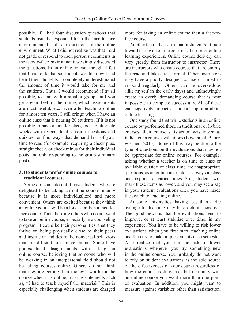possible. If I had four discussion questions that students usually responded to in the face-to-face environment, I had four questions in the online environment. What I did not realize was that I did not grade or respond to each person's comments in the face-to-face environment; we simply discussed the questions. In an online course, though, I felt that I had to do that so students would know I had heard their thoughts. I completely underestimated the amount of time it would take for me and the students. Thus, I would recommend if at all possible, to start with a smaller group until you get a good feel for the timing, which assignments are most useful, etc. Even after teaching online for almost ten years, I still cringe when I have an online class that is nearing 20 students. If it is not possible to have a smaller class, look to alternate weeks with respect to discussion questions and quizzes, or find ways that demand less of your time to read (for example, requiring a check plus, straight check, or check minus for their individual posts and only responding to the group summary post).

#### **3. Do students prefer online courses to traditional courses?**

Some do, some do not. I have students who are delighted to be taking an online course, mainly because it is more individualized and more convenient. Others are excited because they think an online course will be a lot easier than a face-toface course. Then there are others who do not want to take an online course, especially in a counseling program. It could be their personalities, that they thrive on being physically close to their peers and instructor and desire the nonverbal behaviors that are difficult to achieve online. Some have philosophical disagreements with taking an online course, believing that someone who will be working in an interpersonal field should not be taking courses online. Others do not think that they are getting their money's worth for the course when it is online, making statements such as, "I had to teach myself the material." This is especially challenging when students are charged more for taking an online course than a face-toface course.

Another factor that can impact a student's attitude toward taking an online course is their prior online learning experiences. Online course delivery can vary greatly from instructor to instructor. There are instructors who create courses that are simply the read-and-take-a-test format. Other instructors may have a poorly designed course or failed to respond regularly. Others can be overzealous (like myself in the early days) and unknowingly create an overly demanding course that is near impossible to complete successfully. All of these can negatively impact a student's opinion about online learning.

One study found that while students in an online course outperformed those in traditional or hybrid courses, their course satisfaction was lower, as indicated in course evaluations (Lowenthal, Bauer, & Chen, 2015). Some of this may be due to the type of questions on the evaluations that may not be appropriate for online courses. For example, asking whether a teacher is on time to class or available outside of class time are inappropriate questions, as an online instructor is always in class and responds at varied times. Still, students will mark these items as lower, and you may see a sag in your student evaluations once you have made the switch to teaching online.

At some universities, having less than a 4.0 average for teaching may be a definite negative. The good news is that the evaluations tend to improve, or at least stabilize over time, in my experience. You have to be willing to risk lower evaluations when you first start teaching online and then try to make improvements each semester. Also realize that you run the risk of lower evaluations whenever you try something new in the online course. You probably do not want to rely on student evaluations as the sole source of the effectiveness of your course regardless of how the course is delivered, but definitely with an online course you want more than one point of evaluation. In addition, you might want to measure against variables other than satisfaction,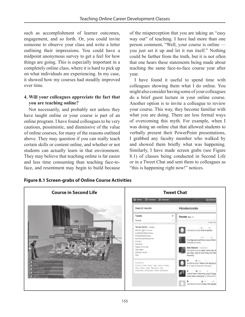such as accomplishment of learner outcomes, engagement, and so forth. Or, you could invite someone to observe your class and write a letter outlining their impressions. You could have a midpoint anonymous survey to get a feel for how things are going. This is especially important in a completely online class, where it is hard to pick up on what individuals are experiencing. In my case, it showed how my courses had steadily improved over time.

#### **4. Will your colleagues appreciate the fact that you are teaching online?**

Not necessarily, and probably not unless they have taught online or your course is part of an online program. I have found colleagues to be very cautious, pessimistic, and dismissive of the value of online courses, for many of the reasons outlined above. They may question if you can really teach certain skills or content online, and whether or not students can actually learn in that environment. They may believe that teaching online is far easier and less time consuming than teaching face-toface, and resentment may begin to build because

of the misperception that you are taking an "easy way out" of teaching. I have had more than one person comment, "Well, your course is online you just set it up and let it run itself." Nothing could be farther from the truth, but it is not often that one hears these statements being made about teaching the same face-to-face course year after year.

I have found it useful to spend time with colleagues showing them what I do online. You might also consider having some of your colleagues do a brief guest lecture in your online course. Another option is to invite a colleague to review your course. This way, they become familiar with what you are doing. There are less formal ways of overcoming this myth. For example, when I was doing an online chat that allowed students to verbally present their PowerPoint presentations, I grabbed any faculty member who walked by and showed them briefly what was happening. Similarly, I have made screen grabs (see Figure 8.1) of classes being conducted in Second Life or in a Tweet Chat and sent them to colleagues as "this is happening right now!" notices.



**Figure 8.1 Screen-grabs of Online Course Activities**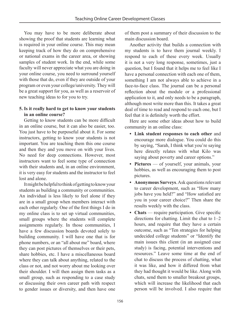You may have to be more deliberate about showing the proof that students are learning what is required in your online course. This may mean keeping track of how they do on comprehensive or national exams in the career area, or showing samples of student work. In the end, while some faculty will never appreciate what you are doing in your online course, you need to surround yourself with those that do, even if they are outside of your program or even your college/university. They will be a great support for you, as well as a reservoir of new teaching ideas to for you to try.

#### **5. Is it really hard to get to know your students in an online course?**

Getting to know students can be more difficult in an online course, but it can also be easier, too. You just have to be purposeful about it. For some instructors, getting to know your students is not important. You are teaching them this one course and then they and you move on with your lives. No need for deep connections. However, most instructors want to feel some type of connection with their students and, in an online environment, it is very easy for students and the instructor to feel lost and alone.

It might be helpful to think of getting to know your students as building a community or communities. An individual is less likely to feel alone if they are in a small group when members interact with each other regularly. One of the first things I do in my online class is to set up virtual communities, small groups where the students will complete assignments regularly. In those communities, I have a few discussion boards devoted solely to building community. I will have one that is for phone numbers, or an "all about me" board, where they can post pictures of themselves or their pets, share hobbies, etc. I have a miscellaneous board where they can talk about anything, related to the class or not, and not worry about me looking over their shoulder. I will then assign them tasks as a small group, such as responding to a case study or discussing their own career path with respect to gender issues or diversity, and then have one

of them post a summary of their discussion to the main discussion board.

Another activity that builds a connection with my students is to have them journal weekly. I respond to each of these every week. Usually it is not a very long response, sometimes, just a question, but I found that it helps me to feel like I have a personal connection with each one of them, something I am not always able to achieve in a face-to-face class. The journal can be a personal reflection about the module or a professional application to it, and only needs to be a paragraph, although most write more than this. It takes a great deal of time to read and respond to each one, but I feel that it is definitely worth the effort.

Here are some other ideas about how to build community in an online class:

- **Link student responses to each other** and encourage more dialogue. You could do this by saying, "Sarah, I think what you're saying here directly relates with what Kilo was saying about poverty and career options."
- **Pictures** of yourself, your animals, your hobbies, as well as encouraging them to post pictures.
- **Anonymous Surveys**. Ask questions relevant to career development, such as "How many jobs have you held?" and "How satisfied are you in your career choice?" Then share the results weekly with the class.
- **Chats** require participation. Give specific directions for chatting. Limit the chat to 1–2 hours, and require that they have a certain outcome, such as "Ten strategies for helping undecided college students" or "Identify the main issues this client (in an assigned case study) is facing, potential interventions and resources." Leave some time at the end of chat to discuss the process of chatting, what it was like, and how it differed from what they had thought it would be like. Along with chats, send them to smaller breakout groups, which will increase the likelihood that each person will be involved. I also require that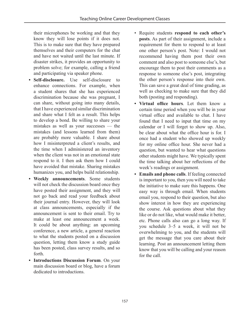their microphones be working and that they know they will lose points if it does not. This is to make sure that they have prepared themselves and their computers for the chat and have not waited until the last minute. If disaster strikes, it provides an opportunity to problem solve; for example, calling a friend and participating via speaker phone.

- **Self-disclosure.** Use self-disclosure to enhance connections. For example, when a student shares that she has experienced discrimination because she was pregnant, I can share, without going into many details, that I have experienced similar discrimination and share what I felt as a result. This helps to develop a bond. Be willing to share your mistakes as well as your successes — the mistakes (and lessons learned from them) are probably more valuable. I share about how I misinterpreted a client's results, and the time when I administered an inventory when the client was not in an emotional state respond to it. I then ask them how I could have avoided that mistake. Sharing mistakes humanizes you, and helps build relationship.
- **Weekly announcements**. Some students will not check the discussion board once they have posted their assignment, and they will not go back and read your feedback about their journal entry. However, they will look at class announcements, especially if the announcement is sent to their email. Try to make at least one announcement a week. It could be about anything: an upcoming conference, a new article, a general reaction to what the students posted on a discussion question, letting them know a study guide has been posted, class survey results, and so forth.
- **Introductions Discussion Forum**. On your main discussion board or blog, have a forum dedicated to introductions.
- Require students **respond to each other's posts**. As part of their assignment, include a requirement for them to respond to at least one other person's post. Note: I would not recommend having them post their own comment and also post to someone else's, but encourage them to post their comments as a response to someone else's post, integrating the other person's response into their own. This can save a great deal of time grading, as well as checking to make sure that they did both (posting and responding).
- **• Virtual office hours**. Let them know a certain time period when you will be in your virtual office and available to chat. I have found that I need to input that time on my calendar or I will forget to show up. Also, be clear about what the office hour is for. I once had a student who showed up weekly for my online office hour. She never had a question, but wanted to hear what questions other students might have. We typically spent the time talking about her reflections of the week's readings or assignment.
- **Emails and phone calls**. If feeling connected is important to you, then you will need to take the initiative to make sure this happens. One easy way is through email. When students email you, respond to their question, but also show interest in how they are experiencing the course. Ask questions about what they like or do not like, what would make it better, etc. Phone calls also can go a long way. If you schedule 3–5 a week, it will not be overwhelming to you, and the students will get the message that you care about their learning. Post an announcement letting them know that you will be calling and your reason for the call.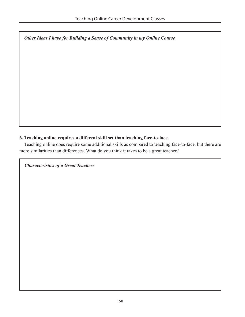*Other Ideas I have for Building a Sense of Community in my Online Course*

#### **6. Teaching online requires a different skill set than teaching face-to-face.**

Teaching online does require some additional skills as compared to teaching face-to-face, but there are more similarities than differences. What do you think it takes to be a great teacher?

*Characteristics of a Great Teacher:*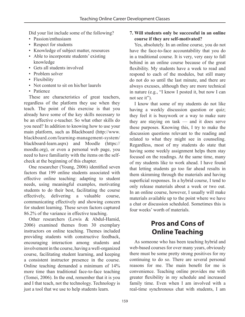Did your list include some of the following?

- Passion/enthusiasm
- Respect for students
- Knowledge of subject matter, resources
- Able to incorporate students' existing knowledge
- Gets all students involved
- Problem solver
- Flexibility
- Not content to sit on his/her laurels
- Patience

These are characteristics of great teachers, regardless of the platform they use when they teach. The point of this exercise is that you already have some of the key skills necessary to be an effective e-teacher. So what other skills do you need? In addition to knowing how to use your main platform, such as Blackboard (http://www. blackboard.com/learning-management-system/ blackboard-learn.aspx) and Moodle (https:// moodle.org), or even a personal web page, you need to have familiarity with the items on the selfcheck at the beginning of this chapter.

One researcher (Young, 2006) identified seven factors that 199 online students associated with effective online teaching: adapting to student needs, using meaningful examples, motivating students to do their best, facilitating the course effectively, delivering a valuable course, communicating effectively and showing concern for student learning. These seven factors captured 86.2% of the variance in effective teaching.

Other researchers (Lewis & Abdul-Hamid, 2006) examined themes from 30 exemplary instructors on online teaching. Themes included providing students with constructive feedback, encouraging interaction among students and involvement in the course, having a well-organized course, facilitating student learning, and keeping a consistent instructor presence in the course. Online teaching demanded a minimum of 14% more time than traditional face-to-face teaching (Tomei, 2006). In the end, remember that it is you and I that teach, not the technology. Technology is just a tool that we use to help students learn.

#### **7. Will students only be successful in an online course if they are self-motivated?**

Yes, absolutely. In an online course, you do not have the face-to-face accountability that you do in a traditional course. It is very, very easy to fall behind in an online course because of the great flexibility. My students have a week to read and respond to each of the modules, but still many do not do so until the last minute, and there are always excuses, although they are more technical in nature (e.g., "I know I posted it, but now I can not see it").

I know that some of my students do not like having a weekly discussion question or quiz; they feel it is busywork or a way to make sure they are staying on task — and it does serve these purposes. Knowing this, I try to make the discussion questions relevant to the reading and related to what they might see in counseling. Regardless, most of my students do state that having some weekly assignment helps them stay focused on the readings. At the same time, many of my students like to work ahead. I have found that letting students go too far ahead results in them skimming through the materials and having superficial responses. In a hybrid course, I tend to only release materials about a week or two out. In an online course, however, I usually will make materials available up to the point where we have a chat or discussion scheduled. Sometimes this is four weeks' worth of materials.

# **Pros and Cons of Online Teaching**

As someone who has been teaching hybrid and web-based courses for over many years, obviously there must be some pretty strong positives for my continuing to do so. There are several personal reasons for me. The main benefit for me is convenience. Teaching online provides me with greater flexibility in my schedule and increased family time. Even when I am involved with a real-time synchronous chat with students, I am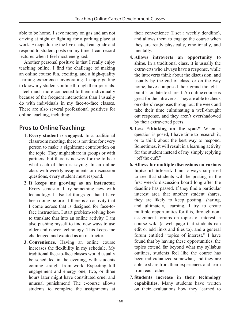able to be home. I save money on gas and am not driving at night or fighting for a parking place at work. Except during the live chats, I can grade and respond to student posts on my time. I can record lectures when I feel most energized.

Another personal positive is that I really enjoy teaching online. I find the challenge of making an online course fun, exciting, and a high-quality learning experience invigorating. I enjoy getting to know my students online through their journals. I feel much more connected to them individually because of the frequent interactions than I usually do with individuals in my face-to-face classes. There are also several professional positives for online teaching, including:

## **Pros to Online Teaching:**

- **1. Every student is engaged.** In a traditional classroom meeting, there is not time for every person to make a significant contribution on the topic. They might share in groups or with partners, but there is no way for me to hear what each of them is saying. In an online class with weekly assignments or discussion questions, every student must respond.
- **2. It keeps me growing as an instructor.** Every semester, I try something new with technology. I also let things go that I have been doing before. If there is an activity that I come across that is designed for face-toface instruction, I start problem-solving how to translate that into an online activity. I am also pushing myself to find new ways to use older and newer technology. This keeps me challenged and excited as an instructor.
- **3. Convenience.** Having an online course increases the flexibility in my schedule. My traditional face-to-face classes would usually be scheduled in the evening, with students coming straight from work. Expecting full engagement and energy one, two, or three hours later might have constituted cruel and unusual punishment! The e-course allows students to complete the assignments at

their convenience (I set a weekly deadline), and allows them to engage the course when they are ready physically, emotionally, and mentally.

- **4. Allows introverts an opportunity to shine.** In a traditional class, it is usually the extraverts who always have a response, while the introverts think about the discussion, and usually by the end of class, or on the way home, have composed their grand thought – but it's too late to share it. An online course is great for the introverts. They are able to check on others' responses throughout the week and take their time culminating a well-thought out response, and they aren't overshadowed by their extraverted peers.
- **5. Less "thinking on the spot."** When a question is posed, I have time to research it, or to think about the best way to respond. Sometimes, it will result in a learning activity for the student instead of my simply replying "off the cuff."
- **6. Allows for multiple discussions on various topics of interest.** I am always surprised to see that students will be posting in the first week's discussion board long after the deadline has passed. If they find a particular interest area that another student shares, they are likely to keep posting, sharing, and ultimately, learning. I try to create multiple opportunities for this, through nonassignment forums on topics of interest, a course wiki (a web page that students can edit or add links and files to), and a general forum entitled "topics of interest." I have found that by having these opportunities, the topics extend far beyond what my syllabus outlines, students feel like the course has been individualized somewhat, and they are able to share from their experiences and learn from each other.
- **7. Students increase in their technology capabilities.** Many students have written on their evaluations how they learned to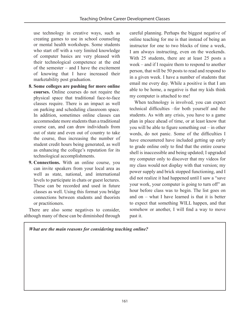use technology in creative ways, such as creating games to use in school counseling or mental health workshops. Some students who start off with a very limited knowledge of computer basics are very pleased with their technological competence at the end of the semester – and I have the excitement of knowing that I have increased their marketability post graduation.

- **8. Some colleges are pushing for more online courses.** Online courses do not require the physical space that traditional face-to-face classes require. There is an impact as well on parking and scheduling classroom space. In addition, sometimes online classes can accommodate more students than a traditional course can, and can draw individuals from out of state and even out of country to take the course, thus increasing the number of student credit hours being generated, as well as enhancing the college's reputation for its technological accomplishments.
- **9. Connections.** With an online course, you can invite speakers from your local area as well as state, national, and international levels to participate in chats or guest lectures. These can be recorded and used in future classes as well. Using this format you bridge connections between students and theorists or practitioners.

There are also some negatives to consider, although many of these can be diminished through careful planning. Perhaps the biggest negative of online teaching for me is that instead of being an instructor for one to two blocks of time a week, I am always instructing, even on the weekends. With 25 students, there are at least 25 posts a week – and if I require them to respond to another person, that will be 50 posts to read and respond to in a given week. I have a number of students that email me every day. While a positive is that I am able to be home, a negative is that my kids think my computer is attached to me!

When technology is involved, you can expect technical difficulties –for both yourself and the students. As with any crisis, you have to a game plan in place ahead of time, or at least know that you will be able to figure something out – in other words, do not panic. Some of the difficulties I have encountered have included getting up early to grade online only to find that the entire course shell is inaccessible and being updated; I upgraded my computer only to discover that my videos for my class would not display with that version; my power supply and brick stopped functioning, and I did not realize it had happened until I saw a "save your work, your computer is going to turn off" an hour before class was to begin. The list goes on and on – what I have learned is that it is better to expect that something WILL happen, and that somehow or another, I will find a way to move past it.

*What are the main reasons for considering teaching online?*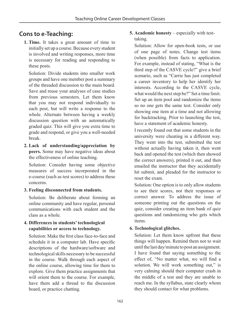## **Cons to e-Teaching:**

**1. Time.** It takes a great amount of time to initially set up a course. Because every student is involved and writing responses, more time is necessary for reading and responding to these posts.

 Solution: Divide students into smaller work groups and have one member post a summary of the threaded discussion to the main board. Save and reuse your analyses of case studies from previous semesters. Let them know that you may not respond individually to each post, but will write a response to the whole. Alternate between having a weekly discussion question with an automatically graded quiz. This will give you extra time to grade and respond, or give you a well-needed break.

**2. Lack of understanding/appreciation by peers.** Some may have negative ideas about the effectiveness of online teaching.

 Solution: Consider having some objective measures of success incorporated in the e-course (such as test scores) to address these concerns.

#### **3. Feeling disconnected from students.**

 Solution: Be deliberate about forming an online community and have regular, personal communications with each student and the class as a whole.

#### **4. Differences in students' technological capabilities or access to technology.**

Solution: Make the first class face-to-face and schedule it in a computer lab. Have specific descriptions of the hardware/software and technological skills necessary to be successful in the course. Walk through each aspect of the online course, allowing time for them to explore. Give them practice assignments that will orient them to the course. For example, have them add a thread to the discussion board, or practice chatting.

**5. Academic honesty** – especially with testtaking.

 Solution: Allow for open-book tests, or use of one page of notes. Change test items (when possible) from facts to application. For example, instead of stating, "What is the third step of the CASVE cycle?" give a brief scenario, such as "Carrie has just completed a career inventory to help her identify her interests. According to the CASVE cycle, what would the next step be?" Set a time limit. Set up an item pool and randomize the items so no one gets the same test. Consider only showing one item at a time and not allowing for backtracking. Prior to launching the test, have a statement of academic honesty.

 I recently found out that some students in the university were cheating in a different way. They went into the test, submitted the test without actually having taken it, then went back and opened the test (which then showed the correct answers), printed it out, and then emailed the instructor that they accidentally hit submit, and pleaded for the instructor to reset the exam.

 Solution: One option is to only allow students to see their scores, not their responses or correct answer. To address the issue of someone printing out the questions on the quiz, consider creating an item bank of quiz questions and randomizing who gets which items.

#### **6. Technological glitches.**

 Solution: Let them know upfront that these things will happen. Remind them not to wait until the last day/minute to post an assignment. I have found that saying something to the effect of, "No matter what, we will find a solution. We will work something out," is very calming should their computer crash in the middle of a test and they are unable to reach me. In the syllabus, state clearly whom they should contact for what problems.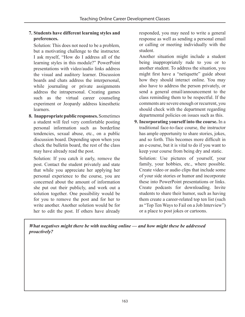#### **7. Students have different learning styles and preferences.**

 Solution: This does not need to be a problem, but a motivating challenge to the instructor. I ask myself, "How do I address all of the learning styles in this module?" PowerPoint presentations with video/audio links address the visual and auditory learner. Discussion boards and chats address the interpersonal, while journaling or private assignments address the intrapersonal. Creating games such as the virtual career counseling experiment or Jeopardy address kinesthetic learners.

**8. Inappropriate public responses.** Sometimes a student will feel very comfortable posting personal information such as borderline tendencies, sexual abuse, etc., on a public discussion board. Depending upon when you check the bulletin board, the rest of the class may have already read the post.

 Solution: If you catch it early, remove the post. Contact the student privately and state that while you appreciate her applying her personal experience to the course, you are concerned about the amount of information she put out their publicly, and work out a solution together. One possibility would be for you to remove the post and for her to write another. Another solution would be for her to edit the post. If others have already responded, you may need to write a general response as well as sending a personal email or calling or meeting individually with the student.

 Another situation might include a student being inappropriately rude to you or to another student. To address the situation, you might first have a "netiquette" guide about how they should interact online. You may also have to address the person privately, or send a general email/announcement to the class reminding them to be respectful. If the comments are severe enough or recurrent, you should check with the department regarding departmental policies on issues such as this.

**9. Incorporating yourself into the course.** In a traditional face-to-face course, the instructor has ample opportunity to share stories, jokes, and so forth. This becomes more difficult in an e-course, but it is vital to do if you want to keep your course from being dry and static.

 Solution: Use pictures of yourself, your family, your hobbies, etc., where possible. Create video or audio clips that include some of your side stories or humor and incorporate these into PowerPoint presentations or links. Create podcasts for downloading. Invite students to share their humor, such as having them create a career-related top ten list (such as "Top Ten Ways to Fail on a Job Interview") or a place to post jokes or cartoons.

*What negatives might there be with teaching online — and how might these be addressed proactively?*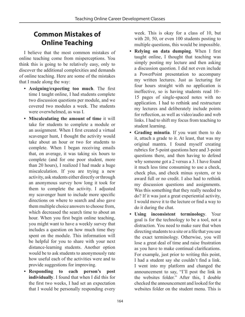# **Common Mistakes of Online Teaching**

I believe that the most common mistakes of online teaching come from misperceptions. You think this is going to be relatively easy, only to discover the additional complexities and demands of online teaching. Here are some of the mistakes that I made along the way:

- **Assigning/expecting too much**. The first time I taught online, I had students complete two discussion questions per module, and we covered two modules a week. The students were overwhelmed, as was I.
- **Miscalculating the amount of time** it will take for students to complete a module or an assignment. When I first created a virtual scavenger hunt, I thought the activity would take about an hour or two for students to complete. When I began receiving emails that, on average, it was taking six hours to complete (and for one poor student, more than 20 hours), I realized I had made a huge miscalculation. If you are trying a new activity, ask students either directly or through an anonymous survey how long it took for them to complete the activity. I adjusted my scavenger hunt to include more specific directions on where to search and also gave them multiple choice answers to choose from, which decreased the search time to about an hour. When you first begin online teaching, you might want to have a weekly survey that includes a question on how much time they spent on the module. This information will be helpful for you to share with your next distance-learning students. Another option would be to ask students to anonymously rate how useful each of the activities were and to provide suggestions for improving.
- **Responding to each person's post individually**. I found that when I did this for the first two weeks, I had set an expectation that I would be personally responding every

week. This is okay for a class of 10, but with 20, 50, or even 100 students posting to multiple questions, this would be impossible.

- **Relying on data dumping**. When I first taught online, I thought that teaching was simply posting my lecture and then asking a discussion question. I did not even include a PowerPoint presentation to accompany my written lectures. Just as lecturing for four hours straight with no application is ineffective, so is having students read 10– 15 pages of single-spaced notes with no application. I had to rethink and restructure my lectures and deliberately include points for reflection, as well as video/audio and web links. I had to shift my focus from teaching to student learning.
- **Grading minutia**. If you want them to do it, attach a grade to it. At least, that was my original mantra. I found myself creating rubrics for 5-point questions here and 3-point questions there, and then having to defend why someone got a 2 versus a 3. I have found it much less time consuming to use a check, check plus, and check minus system, or to award full or no credit. I also had to rethink my discussion questions and assignments. Was this something that they really needed to do? If it was just a great experiential activity, I would move it to the lecture or find a way to do it during the chat.
- **Using inconsistent terminology**. Your goal is for the technology to be a tool, not a distraction. You need to make sure that when directing students to a site or a file that you use the exact terminology. Otherwise, you will lose a great deal of time and raise frustration as you have to make continual clarifications. For example, just prior to writing this point, I had a student say she couldn't find a link. I went into my platform and changed the announcement to say, "I'll post the link in the websites folder." After this, I double checked the announcement and looked for the websites folder on the student menu. This is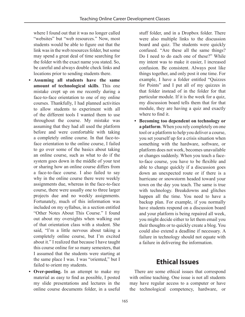where I found out that it was no longer called "websites" but "web resources." Now, most students would be able to figure out that the link was in the web resources folder, but some may spend a great deal of time searching for the folder with the exact name you stated. So, be careful and always double check links and locations prior to sending students there.

- **Assuming all students have the same amount of technological skills**. This one mistake crept up on me recently during a face-to-face orientation to one of my online courses. Thankfully, I had planned activities to allow students to experiment with all of the different tools I wanted them to use throughout the course. My mistake was assuming that they had all used the platform before and were comfortable with taking a completely online course. In that face-toface orientation to the online course, I failed to go over some of the basics about taking an online course, such as what to do if the system goes down in the middle of your test or sharing how an online course differs from a face-to-face course. I also failed to say why in the online course there were weekly assignments due, whereas in the face-to-face course, there were usually one to three larger projects due and no weekly assignments. Fortunately, much of this information was included on my syllabus, in a section entitled "Other Notes About This Course." I found out about my oversights when walking out of that orientation class with a student. She said, "I'm a little nervous about taking a completely online course, but I'm excited about it." I realized that because I have taught this course online for so many semesters, that I assumed that the students were starting at the same place I was. I was "oriented," but I failed to orient my students.
- **Over-posting.** In an attempt to make my material as easy to find as possible, I posted my slide presentations and lectures in the online course documents folder, in a useful

stuff folder, and in a Dropbox folder. There were also multiple links to the discussion board and quiz. The students were quickly confused. "Are these all the same things? Do I need to do each one of these?" While my intent was to make it easier, I increased confusion. Be consistent. Always post like things together, and only post it one time. For example, I have a folder entitled "Quizzes for Points" and I put all of my quizzes in that folder instead of in the folder for that particular module. If it is the week for a quiz, my discussion board tells them that for that module, they are having a quiz and exactly where to find it.

**• Becoming too dependent on technology or a platform**. When you rely completely on one tool or a platform to help you deliver a course, you set yourself up for a crisis situation when something with the hardware, software, or platform does not work, becomes unavailable or changes suddenly. When you teach a faceto-face course, you have to be flexible and able to change quickly if a discussion goes down an unexpected route or if there is a hurricane or snowstorm headed toward your town on the day you teach. The same is true with technology. Breakdowns and glitches happen all the time. You need to have a backup plan. For example, if you normally have students respond on a discussion board and your platform is being repaired all week, you might decide either to let them email you their thoughts or to quickly create a blog. You could also extend a deadline if necessary. A failure in technology should not equate with a failure in delivering the information.

## **Ethical Issues**

There are some ethical issues that correspond with online teaching. One issue is not all students may have regular access to a computer or have the technological competency, hardware, or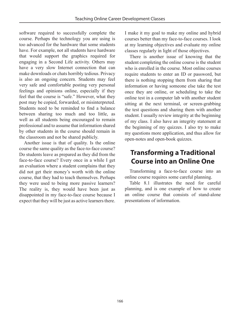software required to successfully complete the course. Perhaps the technology you are using is too advanced for the hardware that some students have. For example, not all students have hardware that would support the graphics required for engaging in a Second Life activity. Others may have a very slow Internet connection that can make downloads or chats horribly tedious. Privacy is also an ongoing concern. Students may feel very safe and comfortable posting very personal feelings and opinions online, especially if they feel that the course is "safe." However, what they post may be copied, forwarded, or misinterpreted. Students need to be reminded to find a balance between sharing too much and too little, as well as all students being encouraged to remain professional and to assume that information shared by other students in the course should remain in the classroom and not be shared publicly.

Another issue is that of quality. Is the online course the same quality as the face-to-face course? Do students leave as prepared as they did from the face-to-face course? Every once in a while I get an evaluation where a student complains that they did not get their money's worth with the online course, that they had to teach themselves. Perhaps they were used to being more passive learners? The reality is, they would have been just as disappointed in my face-to-face course because I expect that they will be just as active learners there. I make it my goal to make my online and hybrid courses better than my face-to-face courses. I look at my learning objectives and evaluate my online classes regularly in light of those objectives.

There is another issue of knowing that the student completing the online course is the student who is enrolled in the course. Most online courses require students to enter an ID or password, but there is nothing stopping them from sharing that information or having someone else take the test once they are online, or scheduling to take the online test in a computer lab with another student sitting at the next terminal, or screen-grabbing the test questions and sharing them with another student. I usually review integrity at the beginning of my class. I also have an integrity statement at the beginning of my quizzes. I also try to make my questions more application, and thus allow for open-notes and open-book quizzes.

## **Transforming a Traditional Course into an Online One**

Transforming a face-to-face course into an online course requires some careful planning.

Table 8.1 illustrates the need for careful planning, and is one example of how to create an online course that consists of stand-alone presentations of information.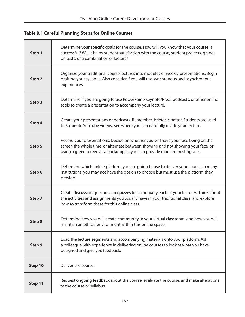### **Table 8.1 Careful Planning Steps for Online Courses**

| Step 1        | Determine your specific goals for the course. How will you know that your course is<br>successful? Will it be by student satisfaction with the course, student projects, grades<br>on tests, or a combination of factors?                              |
|---------------|--------------------------------------------------------------------------------------------------------------------------------------------------------------------------------------------------------------------------------------------------------|
| Step 2        | Organize your traditional course lectures into modules or weekly presentations. Begin<br>drafting your syllabus. Also consider if you will use synchronous and asynchronous<br>experiences.                                                            |
| Step 3        | Determine if you are going to use PowerPoint/Keynote/Prezi, podcasts, or other online<br>tools to create a presentation to accompany your lecture.                                                                                                     |
| Step 4        | Create your presentations or podcasts. Remember, briefer is better. Students are used<br>to 5-minute YouTube videos. See where you can naturally divide your lecture.                                                                                  |
| Step 5        | Record your presentations. Decide on whether you will have your face being on the<br>screen the whole time, or alternate between showing and not showing your face, or<br>using a green screen as a backdrop so you can provide more interesting sets. |
| Step 6        | Determine which online platform you are going to use to deliver your course. In many<br>institutions, you may not have the option to choose but must use the platform they<br>provide.                                                                 |
| Step 7        | Create discussion questions or quizzes to accompany each of your lectures. Think about<br>the activities and assignments you usually have in your traditional class, and explore<br>how to transform these for this online class.                      |
| <b>Step 8</b> | Determine how you will create community in your virtual classroom, and how you will<br>maintain an ethical environment within this online space.                                                                                                       |
| Step 9        | Load the lecture segments and accompanying materials onto your platform. Ask<br>a colleague with experience in delivering online courses to look at what you have<br>designed and give you feedback.                                                   |
| Step 10       | Deliver the course.                                                                                                                                                                                                                                    |
| Step 11       | Request ongoing feedback about the course, evaluate the course, and make alterations<br>to the course or syllabus.                                                                                                                                     |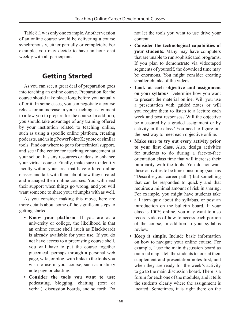Table 8.1 was only one example. Another version of an online course would be delivering a course synchronously, either partially or completely. For example, you may decide to have an hour chat weekly with all participants.

# **Getting Started**

As you can see, a great deal of preparation goes into teaching an online course. Preparation for the course should take place long before you actually offer it. In some cases, you can negotiate a course release or an increase in your teaching assignment to allow you to prepare for the course. In addition, you should take advantage of any training offered by your institution related to teaching online, such as using a specific online platform, creating podcasts, and using PowerPoint/Keynote or similar tools. Find out where to go to for technical support, and see if the center for teaching enhancement at your school has any resources or ideas to enhance your virtual course. Finally, make sure to identify faculty within your area that have offered online classes and talk with them about how they created and managed their online courses. You will need their support when things go wrong, and you will want someone to share your triumphs with as well.

As you consider making this move, here are more details about some of the significant steps to getting started.

- **Know your platform**. If you are at a university or college, the likelihood is that an online course shell (such as Blackboard) is already available for your use. If you do not have access to a preexisting course shell, you will have to put the course together piecemeal, perhaps through a personal web page, wiki, or blog, with links to the tools you wish to use in your course, such as a sticky note page or chatting.
- **Consider the tools you want to use**: podcasting, blogging, chatting (text or verbal), discussion boards, and so forth. Do

not let the tools you want to use drive your content.

- **Consider the technological capabilities of your students**. Many may have computers that are unable to run sophisticated programs. If you plan to demonstrate via videotaped segments of yourself, the download time may be enormous. You might consider creating smaller chunks of the videos.
- **Look at each objective and assignment on your syllabus**. Determine how you want to present the material online. Will you use a presentation with guided notes or will you require them to listen to a lecture each week and post responses? Will the objective be measured by a graded assignment or by activity in the class? You need to figure out the best way to meet each objective online.
- **Make sure to try out every activity prior to your first class**. Also, design activities for students to do during a face-to-face orientation class time that will increase their familiarity with the tools. You do not want these activities to be time consuming (such as "Describe your career path") but something that can be responded to quickly and that requires a minimal amount of risk in sharing. For example, you might have students take a 1 item quiz about the syllabus, or post an introduction on the bulletin board. If your class is 100% online, you may want to also record videos of how to access each portion of the course, in addition to your syllabus review.
- **Keep it simple**. Include basic information on how to navigate your online course. For example, I use the main discussion board as our road map. I tell the students to look at their supplement and presentation notes first, and when they are ready for the week's activity to go to the main discussion board. There is a forum for each one of the modules, and it tells the students clearly where the assignment is located. Sometimes, it is right there on the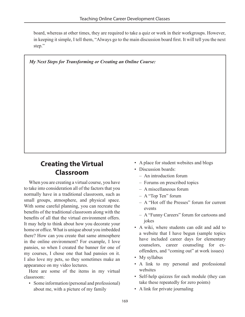board, whereas at other times, they are required to take a quiz or work in their workgroups. However, in keeping it simple, I tell them, "Always go to the main discussion board first. It will tell you the next step."

*My Next Steps for Transforming or Creating an Online Course:*

# **Creating the Virtual Classroom**

When you are creating a virtual course, you have to take into consideration all of the factors that you normally have in a traditional classroom, such as small groups, atmosphere, and physical space. With some careful planning, you can recreate the benefits of the traditional classroom along with the benefits of all that the virtual environment offers. It may help to think about how you decorate your home or office. What is unique about you imbedded there? How can you create that same atmosphere in the online environment? For example, I love pansies, so when I created the banner for one of my courses, I chose one that had pansies on it. I also love my pets, so they sometimes make an appearance on my video lectures.

Here are some of the items in my virtual classroom:

• Some information (personal and professional) about me, with a picture of my family

- A place for student websites and blogs
- Discussion boards:
	- An introduction forum
	- Forums on prescribed topics
	- A miscellaneous forum
	- A "Top Ten" forum
	- A "Hot off the Presses" forum for current events
	- A "Funny Careers" forum for cartoons and jokes
- A wiki, where students can edit and add to a website that I have begun (sample topics have included career days for elementary counselors, career counseling for exoffenders, and "coming out" at work issues)
- My syllabus
- A link to my personal and professional websites
- Self-help quizzes for each module (they can take these repeatedly for zero points)
- A link for private journaling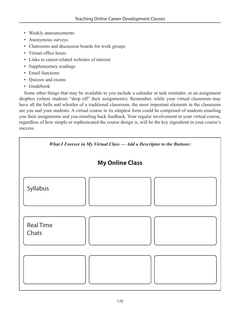- Weekly announcements
- Anonymous surveys
- Chatrooms and discussion boards for work groups
- Virtual office hours
- Links to career-related websites of interest
- Supplementary readings
- Email functions
- Quizzes and exams
- Gradebook

Some other things that may be available to you include a calendar or task reminder, or an assignment dropbox (where students "drop off" their assignments). Remember, while your virtual classroom may have all the bells and whistles of a traditional classroom, the most important elements in the classroom are you and your students. A virtual course in its simplest form could be comprised of students emailing you their assignments and you emailing back feedback. Your regular involvement in your virtual course, regardless of how simple or sophisticated the course design is, will be the key ingredient in your course's success.

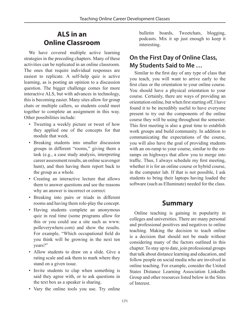## **ALS in an Online Classroom**

We have covered multiple active learning strategies in the preceding chapters. Many of these activities can be replicated in an online classroom. The ones that require individual responses are easiest to replicate. A self-help quiz is active learning, as is posting an opinion to a discussion question. The bigger challenge comes for more interactive ALS, but with advances in technology, this is becoming easier. Many sites allow for group chats or multiple callers, so students could meet together to complete an assignment in this way. Other possibilities include:

- Tweeting a weekly picture or tweet of how they applied one of the concepts for that module that week.
- Breaking students into smaller discussion groups in different "rooms," giving them a task (e.g., a case study analysis, interpreting career assessment results, an online scavenger hunt), and then having them report back to the group as a whole.
- Creating an interactive lecture that allows them to answer questions and see the reasons why an answer is incorrect or correct.
- Breaking into pairs or triads in different rooms and having them role-play the concept.
- Having students complete an anonymous quiz in real time (some programs allow for this or you could use a site such as www. polleverywhere.com) and show the results. For example, "Which occupational field do you think will be growing in the next ten years?"
- Allow students to draw on a slide. Give a rating scale and ask them to mark where they stand on a given issue.
- Invite students to clap when something is said they agree with, or to ask questions in the text box as a speaker is sharing.
- Vary the online tools you use. Try online

bulletin boards, Tweetchats, blogging, podcasts. Mix it up just enough to keep it interesting.

## **On the First Day of Online Class, My Students Said to Me …**

Similar to the first day of any type of class that you teach, you will want to arrive early to the first class or the orientation to your online course. You should have a physical orientation to your course. Certainly, there are ways of providing an orientation online, but when first starting off, I have found it to be incredibly useful to have everyone present to try out the components of the online course they will be using throughout the semester. This first meeting is also a great time to establish work groups and build community. In addition to communicating the expectations of the course, you will also have the goal of providing students with an on-ramp to your course, similar to the onramps on highways that allow you to merge into traffic. Thus, I always schedule my first meeting, whether it is for an online course or hybrid course, in the computer lab. If that is not possible, I ask students to bring their laptops having loaded the software (such as Elluminate) needed for the class.

## **Summary**

Online teaching is gaining in popularity in colleges and universities. There are many personal and professional positives and negatives to online teaching. Making the decision to teach online is a decision that should not be made without considering many of the factors outlined in this chapter. To stay up to date, join professional groups that talk about distance learning and education, and follow people on social media who are involved in online teaching. For example, consider the United States Distance Learning Association LinkedIn Group and other resources listed below in the Sites of Interest.